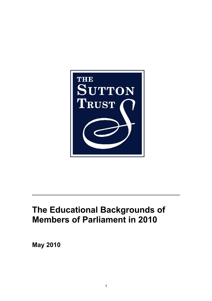

# **The Educational Backgrounds of Members of Parliament in 2010**

**May 2010**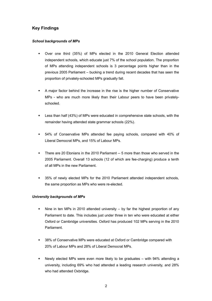## **Key Findings**

#### *School backgrounds of MPs*

- Over one third (35%) of MPs elected in the 2010 General Election attended independent schools, which educate just 7% of the school population. The proportion of MPs attending independent schools is 3 percentage points higher than in the previous 2005 Parliament – bucking a trend during recent decades that has seen the proportion of privately-schooled MPs gradually fall.
- A major factor behind the increase in the rise is the higher number of Conservative MPs - who are much more likely than their Labour peers to have been privatelyschooled.
- Less than half (43%) of MPs were educated in comprehensive state schools, with the remainder having attended state grammar schools (22%).
- 54% of Conservative MPs attended fee paying schools, compared with 40% of Liberal Democrat MPs, and 15% of Labour MPs.
- There are 20 Etonians in the 2010 Parliament -- 5 more than those who served in the 2005 Parliament. Overall 13 schools (12 of which are fee-charging) produce a tenth of all MPs in the new Parliament.
- 35% of newly elected MPs for the 2010 Parliament attended independent schools, the same proportion as MPs who were re-elected.

## *University backgrounds of MPs*

- Nine in ten MPs in 2010 attended university  $-$  by far the highest proportion of any Parliament to date. This includes just under three in ten who were educated at either Oxford or Cambridge universities. Oxford has produced 102 MPs serving in the 2010 Parliament.
- 38% of Conservative MPs were educated at Oxford or Cambridge compared with 20% of Labour MPs and 28% of Liberal Democrat MPs.
- Newly elected MPs were even more likely to be graduates with 94% attending a university, including 69% who had attended a leading research university, and 28% who had attended Oxbridge.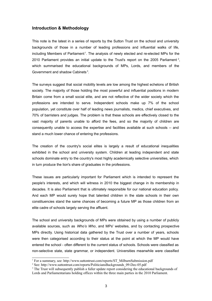#### **Introduction & Methodology**

This note is the latest in a series of reports by the Sutton Trust on the school and university backgrounds of those in a number of leading professions and influential walks of life, including Members of Parliament<sup>[1](#page-2-0)</sup>. The analysis of newly elected and re-elected MPs for the [2](#page-2-1)010 Parliament provides an initial update to the Trust's report on the 2005 Parliament  $^2$ , which summarised the educational backgrounds of MPs, Lords, and members of the Government and shadow Cabinets<sup>[3](#page-2-2)</sup>.

The surveys suggest that social mobility levels are low among the highest echelons of British society. The majority of those holding the most powerful and influential positions in modern Britain come from a small social elite, and are not reflective of the wider society which the professions are intended to serve. Independent schools make up 7% of the school population, yet constitute over half of leading news journalists, medics, chief executives, and 70% of barristers and judges. The problem is that these schools are effectively closed to the vast majority of parents unable to afford the fees, and so the majority of children are consequently unable to access the expertise and facilities available at such schools -- and stand a much lower chance of entering the professions.

The creation of the country's social elites is largely a result of educational inequalities exhibited in the school and university system. Children at leading independent and state schools dominate entry to the country's most highly academically selective universities, which in turn produce the lion's share of graduates in the professions.

These issues are particularly important for Parliament which is intended to represent the people's interests, and which will witness in 2010 the biggest change in its membership in decades. It is also Parliament that is ultimately responsible for our national education policy. And each MP would surely hope that talented children in the state schools in their own constituencies stand the same chances of becoming a future MP as those children from an elite cadre of schools largely serving the affluent.

The school and university backgrounds of MPs were obtained by using a number of publicly available sources, such as *Who's Who*, and MPs' websites, and by contacting prospective MPs directly. Using historical data gathered by the Trust over a number of years, schools were then categorised according to their status at the point at which the MP would have entered the school - often different to the current status of schools. Schools were classified as non-selective state, state grammar, or independent. Universities meanwhile were classified

<span id="page-2-0"></span><sup>&</sup>lt;sup>1</sup> For a summary, see: http://www.suttontrust.com/reports/ST\_MilburnSubmission.pdf

<span id="page-2-1"></span><sup>2</sup> See: http://www.suttontrust.com/reports/PoliticiansBackgrounds\_09-Dec-05.pdf

<span id="page-2-2"></span><sup>&</sup>lt;sup>3</sup> The Trust will subsequently publish a fuller update report considering the educational backgrounds of

Lords and Parliamentarians holding offices within the three main parties in the 2010 Parliament.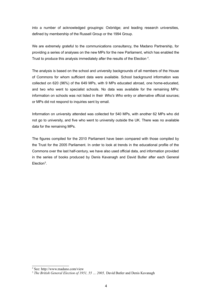into a number of acknowledged groupings: Oxbridge; and leading research universities, defined by membership of the Russell Group or the 1994 Group.

We are extremely grateful to the communications consultancy, the Madano Partnership, for providing a series of analyses on the new MPs for the new Parliament, which has enabled the Trust to produce this analysis immediately after the results of the Election [4](#page-3-0).

The analysis is based on the school and university backgrounds of all members of the House of Commons for whom sufficient data were available. School background information was collected on 620 (96%) of the 649 MPs, with 9 MPs educated abroad, one home-educated, and two who went to specialist schools. No data was available for the remaining MPs: information on schools was not listed in their *Who's Who* entry or alternative official sources; or MPs did not respond to inquiries sent by email.

Information on university attended was collected for 540 MPs, with another 62 MPs who did not go to university, and five who went to university outside the UK. There was no available data for the remaining MPs.

The figures compiled for the 2010 Parliament have been compared with those compiled by the Trust for the 2005 Parliament. In order to look at trends in the educational profile of the Commons over the last half-century, we have also used official data, and information provided in the series of books produced by Denis Kavanagh and David Butler after each General Election<sup>[5](#page-3-1)</sup>.

<span id="page-3-0"></span><sup>4</sup> See: http://www.madano.com/view

<span id="page-3-1"></span><sup>5</sup> *The British General Election of 1951, 55 … 2005,* David Butler and Denis Kavanagh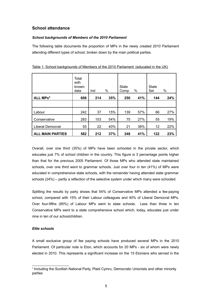## **School attendance**

#### *School backgrounds of Members of the 2010 Parliament*

The following table documents the proportion of MPs in the newly created 2010 Parliament attending different types of school, broken down by the main political parties.

|                            | Total<br>with<br>known<br>data | Ind | %   | <b>State</b><br>Comp | %   | <b>State</b><br>Sel | %   |
|----------------------------|--------------------------------|-----|-----|----------------------|-----|---------------------|-----|
| <b>ALL MPs<sup>6</sup></b> | 608                            | 214 | 35% | 250                  | 41% | 144                 | 24% |
|                            |                                |     |     |                      |     |                     |     |
| Labour                     | 242                            | 37  | 15% | 139                  | 57% | 66                  | 27% |
| Conservative               | 283                            | 153 | 54% | 75                   | 27% | 55                  | 19% |
| <b>Liberal Democrat</b>    | 55                             | 22  | 40% | 21                   | 38% | 12                  | 22% |
| <b>ALL MAIN PARTIES</b>    | 582                            | 212 | 37% | 248                  | 41% | 122                 | 23% |

|  | Table 1: School backgrounds of Members of the 2010 Parliament (educated in the UK) |  |
|--|------------------------------------------------------------------------------------|--|
|  |                                                                                    |  |

Overall, over one third (35%) of MPs have been schooled in the private sector, which educates just 7% of school children in the country. This figure is 3 percentage points higher than that for the previous 2005 Parliament. Of those MPs who attended state maintained schools, over one third went to grammar schools. Just over four in ten (41%) of MPs were educated in comprehensive state schools, with the remainder having attended state grammar schools (24%) – partly a reflection of the selective system under which many were schooled.

Splitting the results by party shows that 54% of Conservative MPs attended a fee-paying school, compared with 15% of their Labour colleagues and 40% of Liberal Democrat MPs. Over four-fifths (85%) of Labour MPs went to state schools. Less than three in ten Conservative MPs went to a state comprehensive school which, today, educates just under nine in ten of our schoolchildren.

#### *Elite schools*

A small exclusive group of fee paying schools have produced several MPs in the 2010 Parliament. Of particular note is Eton, which accounts for 20 MPs - six of whom were newly elected in 2010. This represents a significant increase on the 15 Etonians who served in the

<span id="page-4-0"></span><sup>6</sup> Including the Scottish National Party, Plaid Cymru, Democratic Unionists and other minority parties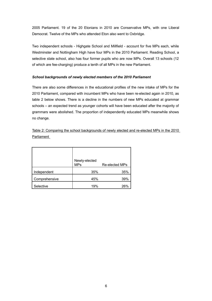2005 Parliament. 19 of the 20 Etonians in 2010 are Conservative MPs, with one Liberal Democrat. Twelve of the MPs who attended Eton also went to Oxbridge.

Two independent schools - Highgate School and Millfield - account for five MPs each, while Westminster and Nottingham High have four MPs in the 2010 Parliament. Reading School, a selective state school, also has four former pupils who are now MPs. Overall 13 schools (12 of which are fee-charging) produce a tenth of all MPs in the new Parliament.

#### *School backgrounds of newly elected members of the 2010 Parliament*

There are also some differences in the educational profiles of the new intake of MPs for the 2010 Parliament, compared with incumbent MPs who have been re-elected again in 2010, as table 2 below shows. There is a decline in the numbers of new MPs educated at grammar schools – an expected trend as younger cohorts will have been educated after the majority of grammars were abolished. The proportion of independently educated MPs meanwhile shows no change.

Table 2: Comparing the school backgrounds of newly elected and re-elected MPs in the 2010 Parliament

|               | Newly-elected<br><b>MPs</b> | Re-elected MPs |
|---------------|-----------------------------|----------------|
| Independent   | 35%                         | 35%            |
| Comprehensive | 45%                         | 39%            |
| Selective     | 19%                         | 26%            |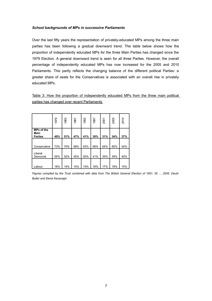#### *School backgrounds of MPs in successive Parliaments*

Over the last fifty years the representation of privately-educated MPs among the three main parties has been following a gradual downward trend. The table below shows how the proportion of independently educated MPs for the three Main Parties has changed since the 1979 Election. A general downward trend is seen for all three Parties. However, the overall percentage of independently educated MPs has now increased for the 2005 and 2010 Parliaments. This partly reflects the changing balance of the different political Parties: a greater share of seats for the Conservatives is associated with an overall rise in privately educated MPs.

Table 3: How the proportion of independently educated MPs from the three main political parties has changed over recent Parliaments

|                                             | 1979 | 1983 | 1987 | 1992 | 1997 | 2001 | 2005 | 2010 |
|---------------------------------------------|------|------|------|------|------|------|------|------|
| <b>MPs of the</b><br>Main<br><b>Parties</b> | 49%  | 51%  | 47%  | 41%  | 30%  | 31%  | 34%  | 37%  |
| Conservative                                | 73%  | 70%  | 68%  | 62%  | 66%  | 64%  | 60%  | 54%  |
| Liberal<br>Democrat                         | 55%  | 52%  | 45%  | 50%  | 41%  | 35%  | 39%  | 40%  |
| Labour                                      | 18%  | 14%  | 14%  | 15%  | 16%  | 17%  | 18%  | 15%  |

Figures compiled by the Trust combined with data from The British General Election of 1951, 55 ... 2005, David *Butler and Denis Kavanagh.*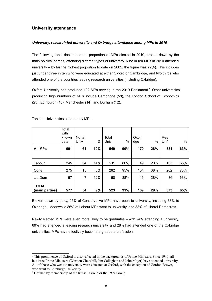## **University attendance**

#### *University, research-led university and Oxbridge attendance among MPs in 2010*

The following table documents the proportion of MPs elected in 2010, broken down by the main political parties, attending different types of university. Nine in ten MPs in 2010 attended university – by far the highest proportion to date (in 2005, the figure was 72%). This includes just under three in ten who were educated at either Oxford or Cambridge, and two thirds who attended one of the countries leading research universities (including Oxbridge).

Oxford University has produced 102 MPs serving in the 2010 Parliament<sup>[7](#page-7-0)</sup>. Other universities producing high numbers of MPs include Cambridge (58), the London School of Economics (25), Edinburgh (15), Manchester (14), and Durham (12).

|                                | Total<br>with<br>known<br>data | Not at<br>Univ | %   | Total<br>Univ | $\%$ | Oxbri<br>dge | %   | Res<br>Uni <sup>8</sup> | %   |
|--------------------------------|--------------------------------|----------------|-----|---------------|------|--------------|-----|-------------------------|-----|
| <b>All MPs</b>                 | 601                            | 61             | 10% | 540           | 90%  | 170          | 28% | 381                     | 63% |
|                                |                                |                |     |               |      |              |     |                         |     |
| Labour                         | 245                            | 34             | 14% | 211           | 86%  | 49           | 20% | 135                     | 55% |
| Cons                           | 275                            | 13             | 5%  | 262           | 95%  | 104          | 38% | 202                     | 73% |
| Lib Dem                        | 57                             | 7              | 12% | 50            | 88%  | 16           | 28% | 36                      | 63% |
| <b>TOTAL</b><br>(main parties) | 577                            | 54             | 9%  | 523           | 91%  | 169          | 29% | 373                     | 65% |

Table 4: Universities attended by MPs

Broken down by party, 95% of Conservative MPs have been to university, including 38% to Oxbridge. Meanwhile 86% of Labour MPs went to university, and 88% of Liberal Democrats.

Newly elected MPs were even more likely to be graduates – with 94% attending a university, 69% had attended a leading research university, and 28% had attended one of the Oxbridge universities. MPs have effectively become a graduate profession.

<span id="page-7-0"></span><sup>7</sup> This prominence of Oxford is also reflected in the backgrounds of Prime Ministers. Since 1940, all but three Prime Ministers (Winston Churchill, Jim Callaghan and John Major) have attended university. All of those who went to university were educated at Oxford, with the exception of Gordon Brown, who went to Edinburgh University.

<span id="page-7-1"></span><sup>&</sup>lt;sup>8</sup> Defined by membership of the Russell Group or the 1994 Group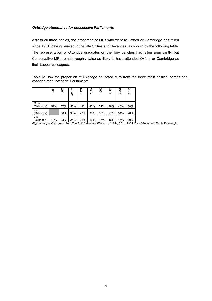#### *Oxbridge attendance for successive Parliaments*

Across all three parties, the proportion of MPs who went to Oxford or Cambridge has fallen since 1951, having peaked in the late Sixties and Seventies, as shown by the following table. The representation of Oxbridge graduates on the Tory benches has fallen significantly, but Conservative MPs remain roughly twice as likely to have attended Oxford or Cambridge as their Labour colleagues.

Table 6: How the proportion of Oxbridge educated MPs from the three main political parties has changed for successive Parliaments

|                    | 1951 | 1966 | 74<br>ਨੂੰ | 1979 | 992<br>$\overline{\phantom{0}}$ | 1997 | 2001 | 2005 | 2010 |
|--------------------|------|------|-----------|------|---------------------------------|------|------|------|------|
| Cons<br>(Oxbridge) | 52%  | 57%  | 56%       | 49%  | 45%                             | 51%  | 48%  | 43%  | 38%  |
| LD<br>(Oxbridge)   |      | 50%  | 38%       | 27%  | 30%                             | 33%  | 27%  | 31%  | 28%  |
| Lab<br>(Oxbridge)  | 19%  | 23%  | 25%       | 21%  | 16%                             | 15%  | 16%  | 16%  | 20%  |

Figures for previous years from The British General Election of 1951, 55 … 2005, David Butler and Denis Kavanagh.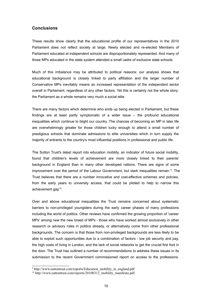## **Conclusions**

These results show clearly that the educational profile of our representatives in the 2010 Parliament does not reflect society at large. Newly elected and re-elected Members of Parliament educated at independent schools are disproportionately represented. And many of those MPs educated in the state system attended a small cadre of exclusive state schools.

Much of this imbalance may be attributed to political reasons: our analysis shows that educational background is closely linked to party affiliation and the larger number of Conservative MPs inevitably means an increased representation of the independent sector overall in Parliament, regardless of any other factors. Yet this is certainly not the whole story: the Parliament as a whole remains very much a social elite.

There are many factors which determine who ends up being elected in Parliament, but these findings are at least partly symptomatic of a wider issue – the profound educational inequalities which continue to blight our country. The chances of becoming an MP in later life are overwhelmingly greater for those children lucky enough to attend a small number of prestigious schools that dominate admissions to elite universities which in turn supply the majority of entrants to the country's most influential positions in professional and public life.

The Sutton Trust's latest report into education mobility, an indicator of future social mobility, found that children's levels of achievement are more closely linked to their parents' background in England than in many other developed nations. There are signs of some improvement over the period of the Labour Government, but stark inequalities remain <sup>[9](#page-9-0)</sup>. The Trust believes that there are a number innovative and cost-effective schemes and policies, from the early years to university access, that could be piloted to help to narrow this achievement gap<sup>[10](#page-9-1)</sup>.

Over and above educational inequalities the Trust remains concerned about systematic barriers to non-privileged youngsters during the early career phases of many professions including the world of politics. Other reviews have confirmed the growing proportion of 'career MPs' among new the new breed of MPs - those who have worked almost exclusively in other research or advisory roles in politics already, or alternatively come from other professional backgrounds. The concern is that those from non-privileged backgrounds are less likely to be able to exploit such opportunities due to a combination of factors - low job security and pay, the high costs of living in London, and the lack of social networks to get the crucial first foot in the door. The Trust has outlined a number of recommendations to address these issues in its submission to the recent Government commissioned report on access to the professions.

<span id="page-9-0"></span><sup>&</sup>lt;sup>9</sup> http://www.suttontrust.com/reports/Education\_mobility\_in\_england.pdf

<span id="page-9-1"></span><sup>&</sup>lt;sup>10</sup> http://www.suttontrust.com/reports/20100312<sup>\_</sup>mobility\_manifesto.pdf